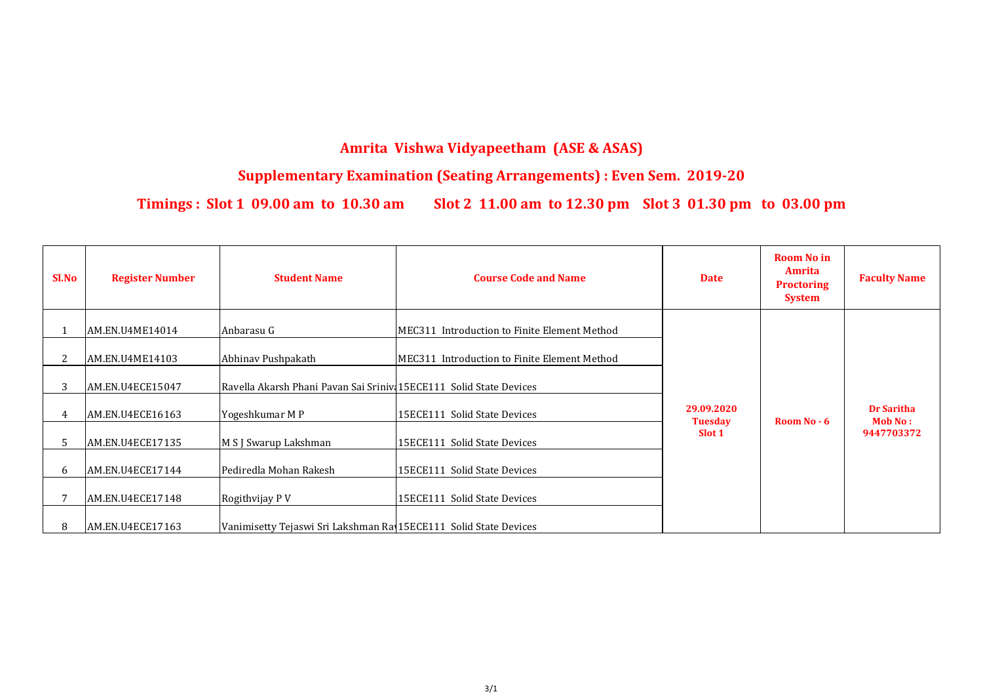| <b>Sl.No</b> | <b>Register Number</b> | <b>Student Name</b>                                                | <b>Course Code and Name</b>                  | <b>Date</b>                  | <b>Room No in</b><br>Amrita<br><b>Proctoring</b><br><b>System</b> | <b>Faculty Name</b>                 |
|--------------|------------------------|--------------------------------------------------------------------|----------------------------------------------|------------------------------|-------------------------------------------------------------------|-------------------------------------|
|              | AM.EN.U4ME14014        | Anbarasu G                                                         | MEC311 Introduction to Finite Element Method |                              |                                                                   |                                     |
|              | AM.EN.U4ME14103        | Abhinav Pushpakath                                                 | MEC311 Introduction to Finite Element Method |                              |                                                                   |                                     |
| 3            | AM.EN.U4ECE15047       | Ravella Akarsh Phani Pavan Sai Sriniv 15ECE111 Solid State Devices |                                              |                              |                                                                   |                                     |
|              | AM.EN.U4ECE16163       | Yogeshkumar M P                                                    | 15ECE111 Solid State Devices                 | 29.09.2020<br><b>Tuesday</b> | Room No - 6                                                       | <b>Dr Saritha</b><br><b>Mob No:</b> |
| 5            | AM.EN.U4ECE17135       | M S J Swarup Lakshman                                              | 15ECE111 Solid State Devices                 | Slot 1                       |                                                                   | 9447703372                          |
| 6            | AM.EN.U4ECE17144       | Pediredla Mohan Rakesh                                             | 15ECE111 Solid State Devices                 |                              |                                                                   |                                     |
|              | AM.EN.U4ECE17148       | Rogithvijay P V                                                    | 15ECE111 Solid State Devices                 |                              |                                                                   |                                     |
| 8            | AM.EN.U4ECE17163       | Vanimisetty Tejaswi Sri Lakshman Ray 15ECE111 Solid State Devices  |                                              |                              |                                                                   |                                     |

## **Amrita Vishwa Vidyapeetham (ASE & ASAS)**

## **Supplementary Examination (Seating Arrangements) : Even Sem. 2019-20**

**Timings : Slot 1 09.00 am to 10.30 am Slot 2 11.00 am to 12.30 pm Slot 3 01.30 pm to 03.00 pm**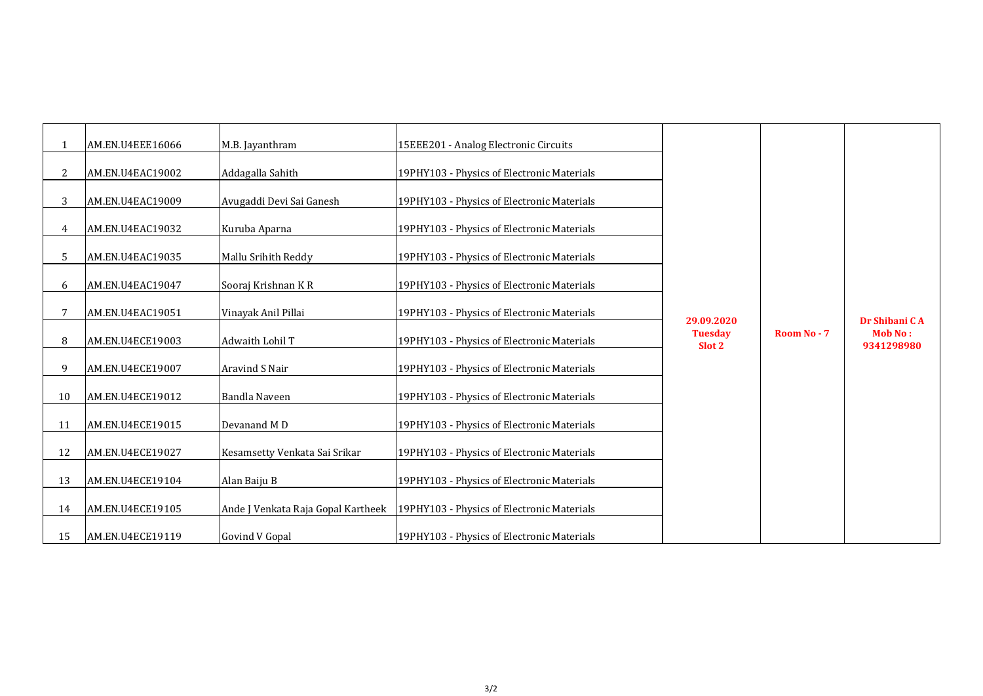| $\mathbf{1}$   | AM.EN.U4EEE16066 | M.B. Jayanthram                    | 15EEE201 - Analog Electronic Circuits      |                                        |
|----------------|------------------|------------------------------------|--------------------------------------------|----------------------------------------|
| $\overline{2}$ | AM.EN.U4EAC19002 | Addagalla Sahith                   | 19PHY103 - Physics of Electronic Materials |                                        |
| 3              | AM.EN.U4EAC19009 | Avugaddi Devi Sai Ganesh           | 19PHY103 - Physics of Electronic Materials |                                        |
| $\overline{4}$ | AM.EN.U4EAC19032 | Kuruba Aparna                      | 19PHY103 - Physics of Electronic Materials |                                        |
| 5              | AM.EN.U4EAC19035 | Mallu Srihith Reddy                | 19PHY103 - Physics of Electronic Materials |                                        |
| 6              | AM.EN.U4EAC19047 | Sooraj Krishnan KR                 | 19PHY103 - Physics of Electronic Materials |                                        |
| $\overline{7}$ | AM.EN.U4EAC19051 | Vinayak Anil Pillai                | 19PHY103 - Physics of Electronic Materials |                                        |
| 8              | AM.EN.U4ECE19003 | <b>Adwaith Lohil T</b>             | 19PHY103 - Physics of Electronic Materials | 29.09.2020<br><b>Tuesday</b><br>Slot 2 |
| 9              | AM.EN.U4ECE19007 | <b>Aravind S Nair</b>              | 19PHY103 - Physics of Electronic Materials |                                        |
| 10             | AM.EN.U4ECE19012 | <b>Bandla Naveen</b>               | 19PHY103 - Physics of Electronic Materials |                                        |
| 11             | AM.EN.U4ECE19015 | Devanand MD                        | 19PHY103 - Physics of Electronic Materials |                                        |
| 12             | AM.EN.U4ECE19027 | Kesamsetty Venkata Sai Srikar      | 19PHY103 - Physics of Electronic Materials |                                        |
| 13             | AM.EN.U4ECE19104 | Alan Baiju B                       | 19PHY103 - Physics of Electronic Materials |                                        |
| 14             | AM.EN.U4ECE19105 | Ande J Venkata Raja Gopal Kartheek | 19PHY103 - Physics of Electronic Materials |                                        |
| 15             | AM.EN.U4ECE19119 | <b>Govind V Gopal</b>              | 19PHY103 - Physics of Electronic Materials |                                        |